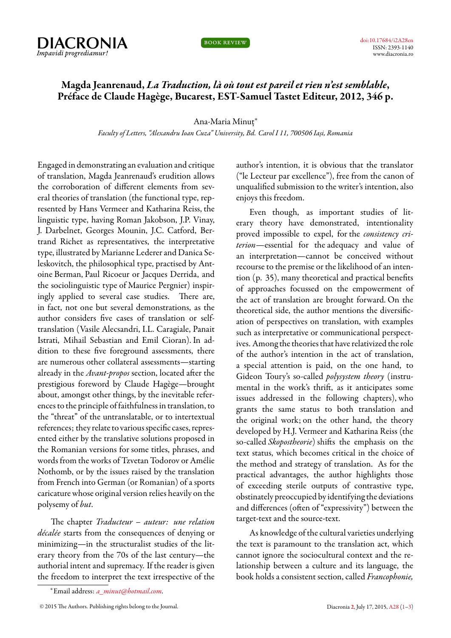

book review

## **Magda Jeanrenaud,** *La Traduction, là où tout est pareil et rien n'est semblable***, Préface de Claude Hagège, Bucarest, EST-Samuel Tastet Editeur, 2012, 346 p.**

## Ana-Maria Minuț*<sup>∗</sup>*

*Faculty of Letters, "Alexandru Ioan Cuza" University, Bd. Carol I 11, 700506 Iași, Romania*

<span id="page-0-0"></span>Engaged in demonstrating an evaluation and critique of translation, Magda Jeanrenaud's erudition allows the corroboration of different elements from several theories of translation (the functional type, represented by Hans Vermeer and Katharina Reiss, the linguistic type, having Roman Jakobson, J.P. Vinay, J. Darbelnet, Georges Mounin, J.C. Catford, Bertrand Richet as representatives, the interpretative type, illustrated by Marianne Lederer and Danica Seleskovitch, the philosophical type, practised by Antoine Berman, Paul Ricoeur or Jacques Derrida, and the sociolinguistic type of Maurice Pergnier) inspiringly applied to several case studies. There are, in fact, not one but several demonstrations, as the author considers five cases of translation or selftranslation (Vasile Alecsandri, I.L. Caragiale, Panait Istrati, Mihail Sebastian and Emil Cioran). In addition to these five foreground assessments, there are numerous other collateral assessments—starting already in the *Avant-propos* section, located after the prestigious foreword by Claude Hagège—brought about, amongst other things, by the inevitable references to the principle offaithfulness in translation, to the "threat" of the untranslatable, or to intertextual references; they relate to various specific cases, represented either by the translative solutions proposed in the Romanian versions for some titles, phrases, and words from the works of Tzvetan Todorov or Amélie Nothomb, or by the issues raised by the translation from French into German (or Romanian) of a sports caricature whose original version relies heavily on the polysemy of *but*.

The chapter *Traducteur – auteur: une relation décalée* starts from the consequences of denying or minimizing—in the structuralist studies of the literary theory from the 70s of the last century—the authorial intent and supremacy. If the reader is given the freedom to interpret the text irrespective of the

author's intention, it is obvious that the translator ("le Lecteur par excellence"), free from the canon of unqualified submission to the writer's intention, also enjoys this freedom.

Even though, as important studies of literary theory have demonstrated, intentionality proved impossible to expel, for the *consistency criterion*—essential for the adequacy and value of an interpretation—cannot be conceived without recourse to the premise or the likelihood of an intention (p. 35), many theoretical and practical benefits of approaches focussed on the empowerment of the act of translation are brought forward. On the theoretical side, the author mentions the diversification of perspectives on translation, with examples such as interpretative or communicational perspectives. Among the theories that have relativized the role of the author's intention in the act of translation, a special attention is paid, on the one hand, to Gideon Toury's so-called *polysystem theory* (instrumental in the work's thrift, as it anticipates some issues addressed in the following chapters), who grants the same status to both translation and the original work; on the other hand, the theory developed by H.J. Vermeer and Katharina Reiss (the so-called *Skopostheorie*) shifts the emphasis on the text status, which becomes critical in the choice of the method and strategy of translation. As for the practical advantages, the author highlights those of exceeding sterile outputs of contrastive type, obstinately preoccupied by identifying the deviations and differences (often of "expressivity") between the target-text and the source-text.

As knowledge of the cultural varieties underlying the text is paramount to the translation act, which cannot ignore the sociocultural context and the relationship between a culture and its language, the book holds a consistent section, called *Francophonie,*

*<sup>∗</sup>*Email address: *[a\\_minut@hotmail.com](mailto:a_minut@hotmail.com)*.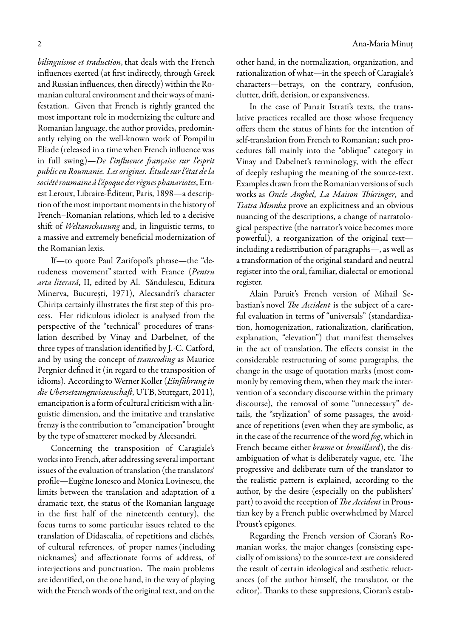*bilinguisme et traduction*, that deals with the French influences exerted (at first indirectly, through Greek and Russian influences, then directly) within the Romanian cultural environment and their ways of manifestation. Given that French is rightly granted the most important role in modernizing the culture and Romanian language, the author provides, predominantly relying on the well-known work of Pompiliu Eliade (released in a time when French influence was in full swing)—*De l'influence française sur l'esprit public en Roumanie. Les origines. Étude sur l'état de la société roumaine à l'époque des règnes phanariotes*, Ernest Leroux, Libraire-Éditeur, Paris, 1898—a description of the most important moments in the history of French–Romanian relations, which led to a decisive shift of *Weltanschauung* and, in linguistic terms, to a massive and extremely beneficial modernization of the Romanian lexis.

If—to quote Paul Zarifopol's phrase—the "derudeness movement" started with France (*Pentru arta literară*, II, edited by Al. Săndulescu, Editura Minerva, București, 1971), Alecsandri's character Chiriţa certainly illustrates the first step of this process. Her ridiculous idiolect is analysed from the perspective of the "technical" procedures of translation described by Vinay and Darbelnet, of the three types of translation identified by J.-C. Catford, and by using the concept of *transcoding* as Maurice Pergnier defined it (in regard to the transposition of idioms). According toWerner Koller (*Einführung in die Ubersetzungswissenschaft*, UTB, Stuttgart, 2011), emancipation is aform of cultural criticism with a linguistic dimension, and the imitative and translative frenzy is the contribution to "emancipation" brought by the type of smatterer mocked by Alecsandri.

Concerning the transposition of Caragiale's works into French, after addressing several important issues of the evaluation of translation (the translators' profile—Eugène Ionesco and Monica Lovinescu, the limits between the translation and adaptation of a dramatic text, the status of the Romanian language in the first half of the nineteenth century), the focus turns to some particular issues related to the translation of Didascalia, of repetitions and clichés, of cultural references, of proper names (including nicknames) and affectionate forms of address, of interjections and punctuation. The main problems are identified, on the one hand, in the way of playing with the French words of the original text, and on the

other hand, in the normalization, organization, and rationalization of what—in the speech of Caragiale's characters—betrays, on the contrary, confusion, clutter, drift, derision, or expansiveness.

In the case of Panait Istrati's texts, the translative practices recalled are those whose frequency offers them the status of hints for the intention of self-translation from French to Romanian; such procedures fall mainly into the "oblique" category in Vinay and Dabelnet's terminology, with the effect of deeply reshaping the meaning of the source-text. Examples drawn from the Romanian versions of such works as *Oncle Anghel*, *La Maison Thüringer*, and *Tsatsa Minnka* prove an explicitness and an obvious nuancing of the descriptions, a change of narratological perspective (the narrator's voice becomes more powerful), a reorganization of the original text including a redistribution of paragraphs—, as well as a transformation of the original standard and neutral register into the oral, familiar, dialectal or emotional register.

Alain Paruit's French version of Mihail Sebastian's novel *The Accident* is the subject of a careful evaluation in terms of "universals" (standardization, homogenization, rationalization, clarification, explanation, "elevation") that manifest themselves in the act of translation. The effects consist in the considerable restructuring of some paragraphs, the change in the usage of quotation marks (most commonly by removing them, when they mark the intervention of a secondary discourse within the primary discourse), the removal of some "unnecessary" details, the "stylization" of some passages, the avoidance of repetitions (even when they are symbolic, as in the case of the recurrence of the word *fog*, which in French became either *brume* or *brouillard*), the disambiguation of what is deliberately vague, etc. The progressive and deliberate turn of the translator to the realistic pattern is explained, according to the author, by the desire (especially on the publishers' part) to avoid the reception of *The Accident* in Proustian key by a French public overwhelmed by Marcel Proust's epigones.

Regarding the French version of Cioran's Romanian works, the major changes (consisting especially of omissions) to the source-text are considered the result of certain ideological and æsthetic reluctances (of the author himself, the translator, or the editor). Thanks to these suppresions, Cioran's estab